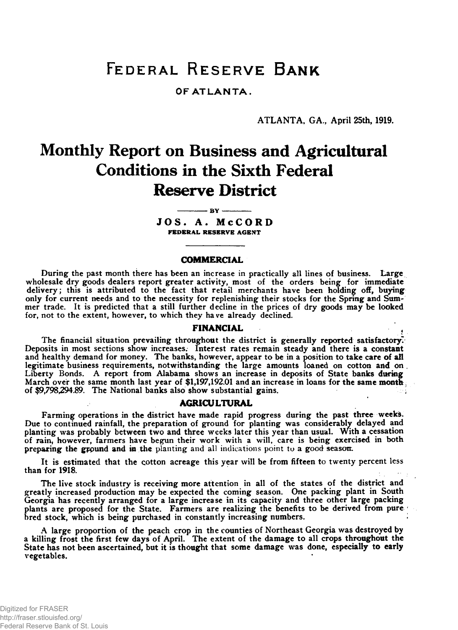# **Federal Reserve Bank**

# OF AT LANTA.

ATLANTA, GA., April 25th, 1919.

# **Monthly Report on Business and Agricultural Conditions in the Sixth Federal Reserve District**

**--------------- b y ----------------** JOS. A. McCORD **FEDERAL RESERVE AGENT**

#### **COMMERCIAL**

During the past month there has been an increase in practically all lines of business. Large wholesale dry goods dealers report greater activity, most of the orders being for immediate delivery; this is attributed to the fact that retail merchants have been holding off, buying only for current needs and to the necessity for replenishing their stocks for the Spring and Summer trade. It is predicted that a still further decline in the prices of dry goods may be looked for, not to the extent, however, to which they have already declined.

#### FINANCIAL

The financial situation prevailing throughout the district is generally reported satisfactory. Deposits in most sections show increases. Interest rates remain steady and there is a constant and healthy demand for money. The banks, however, appear to be in a position to take care of all legitimate business requirements, notwithstanding the large amounts loaned on cotton and on Liberty Bonds. A report from Alabama shows an increase in deposits of State banks during March over the same month last year of \$1,197,192.01 and an increase in loans for the same month, of \$9,798,294.89. The National banks also show substantial gains.

#### AGRICULTURAL

Farming operations in the district have made rapid progress during the past three weeks. Due to continued rainfall, the preparation of ground for planting was considerably delayed and planting was probably between two and three weeks later this year than usual. With a cessation of rain, however, farmers have begun their work with a will, care is being exercised in both preparing the gfpund and in the planting and all indications point to a good season.

It is estimated that the cotton acreage this year will be from fifteen to twenty percent less than for 1918.

The live stock industry is receiving more attention in all of the states of the district and greatly increased production may be expected the coming season. One packing plant in South Georgia has recently arranged for a large increase in its capacity and three other large packing plants are proposed for the State. Farmers are realizing the benefits to be derived from pure bred stock, which is being purchased in constantly increasing numbers.

A large proportion of the peach crop in the counties of Northeast Georgia was destroyed by a killing frost the first few days of April. The extent of the damage to all crops throughout the State has not been ascertained, but it is thought that some damage was done, especially to early vegetables.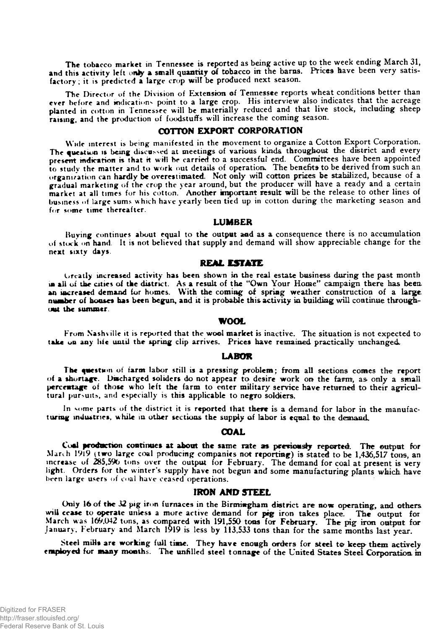The tobacco market in Tennessee is reported as being active up to the week ending March 31, and this activity left only a small quantity of tobacco in the barns. Prices have been very satisfactory ; it is predicted a large crop wilt be produced next season.

The Director of the Division of Extension of Tennessee reports wheat conditions better than ever before and indications point to a large crop. His interview also indicates that the acreage planted in cotton in Tennessee will be materially reduced and that live stock, including sheep raising, and the production of foodstuffs will increase the coming season.

# COTTON EXPORT CORPORATION

Wide interest is being manifested in the movement to organize a Cotton Export Corporation. The question is being discussed at meetings of various kinds throughout the district and every present indication is that it will be carried to a successful end. Committees have been appointed to study the matter and to work out details of operation. The benefits to be derived from such an organization can hardly be overestimated. Not only will cotton prices be stabilized, because of a gradual marketing of the crop the year around, but the producer will have a ready and a certain market at all times for his cotton. Another important result will be the release to other lines of business of large sums which have yearly been tied up in cotton during the marketing season and for some time thereafter.

#### LUMBER

Buying continues about equal to the output and as a consequence there is no accumulation of stock on hand. It is not believed that supply and demand will show appreciable change for the next sixty days.

#### **REAL ESTATE**

Greatly increased activity has been shown in the real estate business daring the past month is all of the cities of the district. As a result of the "Own Your Home" campaign there has been an increased demand for homes. With the coming of spring weather construction of a large number of booses has been begun, and it is probable this activity in building will continue throughout the summer

#### WOOL

From Nashville it is reported that the wool market is inactive. The situation is not expected to take on any liic until the spring clip arrives. Prices have remained practically unchanged..

#### LABOR

The questum of farm labor still is a pressing problem; from all sections comes the report of a shortage. Discharged soliders do not appear to desire work on the farm, as only a small percentage of those who left the farm to enter military service have returned to their agricultural pursuits, and especially is this applicable to negro soldiers.

In some parts of the district it is reported that there is a demand for labor in the manufacturing industries, while in other sections the supply of labor is equal to the demand.

#### COAL

Cool **production** continues at **about the** same rate as previously reported The output for March 19l9 (two large coal producing companies not reporting) is stated to be 1,436,517 tons, an increase of 285,596 tons over the output for February. The demand for coal at present is very light. Orders for the winter's supply have not begun and some manufacturing plants which have been large users of coal have ceased operations.

# IRON AND STEEL

Only 16 of the 32 pig iron furnaces in the Birmingham district are now operating, and others will cease to operate unless a more active demand for pig iron takes place. The output for March was 169,042 tons, as compared with 191,550 tons for February. The pig iron output for January. February and March 1919 is less by 113,533 tons than for the same months last year.

Steel mills are working full time. They have enough orders for steel to keep them actively employed for many months. The unfilled steel tonnage of the United States Steel Corporation in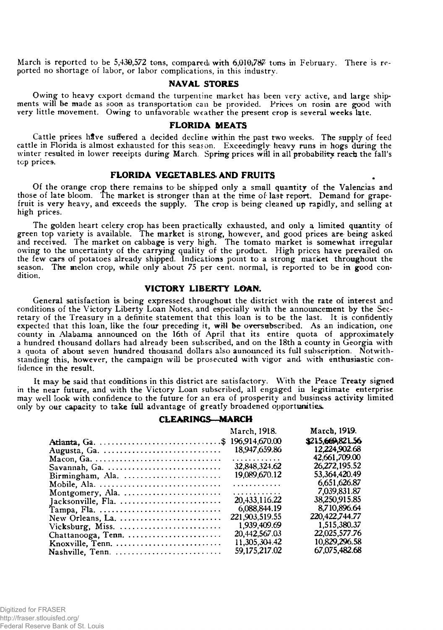March is reported to be 5,430,572 tons, compared with  $6,010,787$  tons in February. There is reported no shortage of labor, or labor complications, in this industry.

#### NAVAL STORES

Owing to heavy export demand the turpentine market has been very active, and large shipments will be made as soon as transportation can be provided. Prices on rosin are good with very little movement. Owing to unfavorable weather the present crop is several weeks late.

#### FLORIDA MEATS

Cattle prices have suffered a decided decline within the past two weeks. The supply of feed cattle in Florida is almost exhausted for this season. Exceedingly heavy runs in hogs during the winter resulted in lower receipts during March. Spring prices will in all probability reach the fall's top prices.

# FLORIDA VEGETABLES AND FRUITS

Of the orange crop there remains to be shipped only a small quantity of the Valencias and those of late bloom. The market is stronger than at the time of la3t report. Demand for grapefruit is very heavy, and exceeds the supply. The crop is being cleaned up rapidly, and selling at high prices.

The golden heart celery crop has been practically exhausted, and only a limited quantity of green top variety is available. The market is strong, however,, and good prices are being asked and received. The market on cabbage is very high. The tomato market is somewhat irregular owing to the uncertainty of the carrying quality of the product. High prices have prevailed on the few cars of potatoes already shipped. Indications point to a strong market throughout the season. The melon crop, while only about 75 per cent, normal, is reported to be in good condition.

# VICTORY LIBERTY LOAN.

General satisfaction is being expressed throughout the district with the rate of interest and conditions of the Victory Liberty Loan Notes, and especially with the announcement by the Secretary of the Treasury in a definite statement that this loan is to be the last. It is confidently expected that this loan, like the four preceding it, will be oversubscribed. As an indication, one county in Alabama announced on the 16th of April that its entire quota of approximately a hundred thousand dollars had already been subscribed, and on the 18th a county in Georgia with a quota of about seven hundred thousand dollars also announced its full subscription. Notwithstanding this, however, the campaign will be prosecuted with vigor and with enthusiastic confidence in the result.

It may be said that conditions in this district are satisfactory. With the Peace Treaty signed in the near future, and with the Victory Loan subscribed, all engaged in legitimate enterprise may well look with confidence to the future for an era of prosperity and business activity limited only by our capacity to take full advantage of greatly broadened opportunities.

### CLEARINGS—MARCH

|                                                                       | March, 1918.   | March, 1919.     |
|-----------------------------------------------------------------------|----------------|------------------|
|                                                                       |                | \$215,669,821.56 |
|                                                                       | 18,947,659.86  | 12,224,902.68    |
| Macon, Ga.                                                            | .              | 42,661,709.00    |
| Savannah, Ga.                                                         | 32,848,324.62  | 26,272,195.52    |
|                                                                       | 19,089,670.12  | 53.364.420.49    |
| Mobile, Ala.                                                          | .              | 6.651.626.87     |
| Montgomery, Ala. $\dots\dots\dots\dots\dots\dots\dots\dots\dots$      | .              | 7.039.831.87     |
| Jacksonville, Fla. $\ldots \ldots \ldots \ldots \ldots \ldots \ldots$ | 20.433.116.22  | 38.250.915.85    |
|                                                                       | 6,088,844.19   | 8.710.896.64     |
| New Orleans, La. $\dots\dots\dots\dots\dots\dots\dots\dots\dots$      | 221,903,519.55 | 220,422,744.77   |
|                                                                       | 1.939,409.69   | 1,515,380.37     |
| $Chattanooga, Tenn. \ldots \ldots \ldots \ldots \ldots \ldots$        | 20.442.567.03  | 22.025.577.76    |
| Knoxville, Tenn.                                                      | 11.305.304.42  | 10.829.296.58    |
|                                                                       | 59,175,217.02  | 67.075.482.68    |